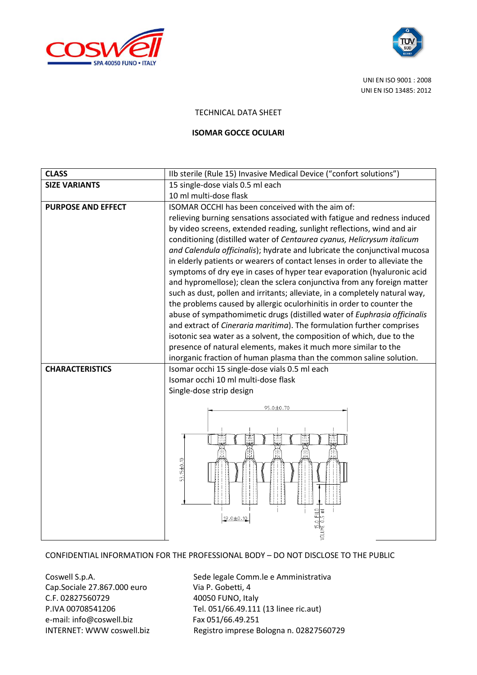



UNI EN ISO 9001 : 2008 UNI EN ISO 13485: 2012

## TECHNICAL DATA SHEET

## **ISOMAR GOCCE OCULARI**

| <b>CLASS</b>              | IIb sterile (Rule 15) Invasive Medical Device ("confort solutions")                                                                                    |
|---------------------------|--------------------------------------------------------------------------------------------------------------------------------------------------------|
| <b>SIZE VARIANTS</b>      | 15 single-dose vials 0.5 ml each                                                                                                                       |
|                           | 10 ml multi-dose flask                                                                                                                                 |
| <b>PURPOSE AND EFFECT</b> | ISOMAR OCCHI has been conceived with the aim of:                                                                                                       |
|                           | relieving burning sensations associated with fatigue and redness induced                                                                               |
|                           | by video screens, extended reading, sunlight reflections, wind and air                                                                                 |
|                           | conditioning (distilled water of Centaurea cyanus, Helicrysum italicum                                                                                 |
|                           | and Calendula officinalis); hydrate and lubricate the conjunctival mucosa                                                                              |
|                           | in elderly patients or wearers of contact lenses in order to alleviate the                                                                             |
|                           | symptoms of dry eye in cases of hyper tear evaporation (hyaluronic acid                                                                                |
|                           | and hypromellose); clean the sclera conjunctiva from any foreign matter<br>such as dust, pollen and irritants; alleviate, in a completely natural way, |
|                           | the problems caused by allergic oculorhinitis in order to counter the                                                                                  |
|                           | abuse of sympathomimetic drugs (distilled water of Euphrasia officinalis                                                                               |
|                           | and extract of Cineraria maritima). The formulation further comprises                                                                                  |
|                           | isotonic sea water as a solvent, the composition of which, due to the                                                                                  |
|                           | presence of natural elements, makes it much more similar to the                                                                                        |
|                           | inorganic fraction of human plasma than the common saline solution.                                                                                    |
| <b>CHARACTERISTICS</b>    | Isomar occhi 15 single-dose vials 0.5 ml each                                                                                                          |
|                           | Isomar occhi 10 ml multi-dose flask                                                                                                                    |
|                           | Single-dose strip design                                                                                                                               |
|                           | 95.0±0.70                                                                                                                                              |
|                           |                                                                                                                                                        |
|                           |                                                                                                                                                        |
|                           |                                                                                                                                                        |
|                           |                                                                                                                                                        |
|                           |                                                                                                                                                        |
|                           | 53.15±0.10                                                                                                                                             |
|                           |                                                                                                                                                        |
|                           |                                                                                                                                                        |
|                           |                                                                                                                                                        |
|                           | 19.0±0.10                                                                                                                                              |
|                           |                                                                                                                                                        |

## CONFIDENTIAL INFORMATION FOR THE PROFESSIONAL BODY – DO NOT DISCLOSE TO THE PUBLIC

Cap.Sociale 27.867.000 euro Via P. Gobetti, 4 C.F. 02827560729 40050 FUNO, Italy e-mail: info@coswell.biz Fax 051/66.49.251

Coswell S.p.A. Sede legale Comm.le e Amministrativa P.IVA 00708541206 Tel. 051/66.49.111 (13 linee ric.aut) INTERNET: WWW coswell.biz Registro imprese Bologna n. 02827560729